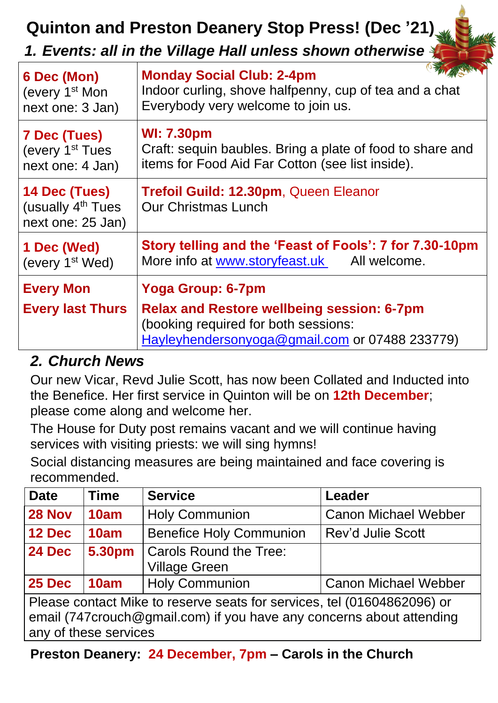# **Quinton and Preston Deanery Stop Press! (Dec '21)**

### *1. Events: all in the Village Hall unless shown otherwise*

| 6 Dec (Mon)                                                         | <b>Monday Social Club: 2-4pm</b>                                                                                                            |  |
|---------------------------------------------------------------------|---------------------------------------------------------------------------------------------------------------------------------------------|--|
| (every 1 <sup>st</sup> Mon                                          | Indoor curling, shove halfpenny, cup of tea and a chat                                                                                      |  |
| next one: 3 Jan)                                                    | Everybody very welcome to join us.                                                                                                          |  |
| <b>7 Dec (Tues)</b>                                                 | <b>WI: 7.30pm</b>                                                                                                                           |  |
| (every 1 <sup>st</sup> Tues                                         | Craft: sequin baubles. Bring a plate of food to share and                                                                                   |  |
| next one: 4 Jan)                                                    | items for Food Aid Far Cotton (see list inside).                                                                                            |  |
| 14 Dec (Tues)<br>(usually 4 <sup>th</sup> Tues<br>next one: 25 Jan) | Trefoil Guild: 12.30pm, Queen Eleanor<br><b>Our Christmas Lunch</b>                                                                         |  |
| 1 Dec (Wed)                                                         | Story telling and the 'Feast of Fools': 7 for 7.30-10pm                                                                                     |  |
| (every 1 <sup>st</sup> Wed)                                         | More info at www.storyfeast.uk All welcome.                                                                                                 |  |
| <b>Every Mon</b>                                                    | <b>Yoga Group: 6-7pm</b>                                                                                                                    |  |
| <b>Every last Thurs</b>                                             | <b>Relax and Restore wellbeing session: 6-7pm</b><br>(booking required for both sessions:<br>Hayleyhendersonyoga@gmail.com or 07488 233779) |  |

# *2. Church News*

Our new Vicar, Revd Julie Scott, has now been Collated and Inducted into the Benefice. Her first service in Quinton will be on **12th December**; please come along and welcome her.

The House for Duty post remains vacant and we will continue having services with visiting priests: we will sing hymns!

Social distancing measures are being maintained and face covering is recommended.

| <b>Date</b>                                                                                                                                                              | <b>Time</b> | <b>Service</b>                                        | <b>Leader</b>               |  |  |
|--------------------------------------------------------------------------------------------------------------------------------------------------------------------------|-------------|-------------------------------------------------------|-----------------------------|--|--|
| <b>28 Nov</b>                                                                                                                                                            | 10am        | <b>Holy Communion</b>                                 | <b>Canon Michael Webber</b> |  |  |
| <b>12 Dec</b>                                                                                                                                                            | 10am        | <b>Benefice Holy Communion</b>                        | <b>Rev'd Julie Scott</b>    |  |  |
| <b>24 Dec</b>                                                                                                                                                            | 5.30pm      | <b>Carols Round the Tree:</b><br><b>Village Green</b> |                             |  |  |
| 25 Dec                                                                                                                                                                   | 10am        | <b>Holy Communion</b>                                 | <b>Canon Michael Webber</b> |  |  |
| Please contact Mike to reserve seats for services, tel (01604862096) or<br>email (747crouch@gmail.com) if you have any concerns about attending<br>any of these services |             |                                                       |                             |  |  |

**Preston Deanery: 24 December, 7pm – Carols in the Church**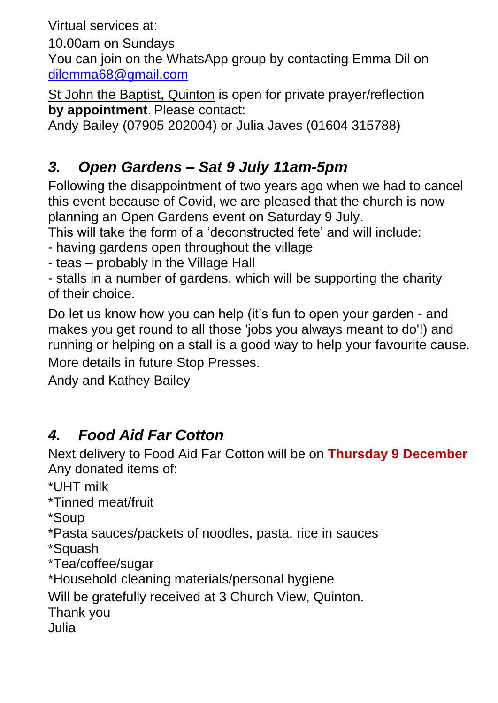Virtual services at:

10.00am on Sundays

You can join on the WhatsApp group by contacting Emma Dil on [dilemma68@gmail.com](mailto:dilemma68@gmail.com)

St John the Baptist, Quinton is open for private prayer/reflection **by appointment**. Please contact:

Andy Bailey (07905 202004) or Julia Javes (01604 315788)

# *3. Open Gardens – Sat 9 July 11am-5pm*

Following the disappointment of two years ago when we had to cancel this event because of Covid, we are pleased that the church is now planning an Open Gardens event on Saturday 9 July.

This will take the form of a 'deconstructed fete' and will include:

- having gardens open throughout the village
- teas probably in the Village Hall

- stalls in a number of gardens, which will be supporting the charity of their choice.

Do let us know how you can help (it's fun to open your garden - and makes you get round to all those 'jobs you always meant to do'!) and running or helping on a stall is a good way to help your favourite cause. More details in future Stop Presses.

Andy and Kathey Bailey

# *4. Food Aid Far Cotton*

Next delivery to Food Aid Far Cotton will be on **Thursday 9 December** Any donated items of:

\*UHT milk

\*Tinned meat/fruit

\*Soup

\*Pasta sauces/packets of noodles, pasta, rice in sauces

\*Squash

\*Tea/coffee/sugar

\*Household cleaning materials/personal hygiene

Will be gratefully received at 3 Church View, Quinton.

Thank you

Julia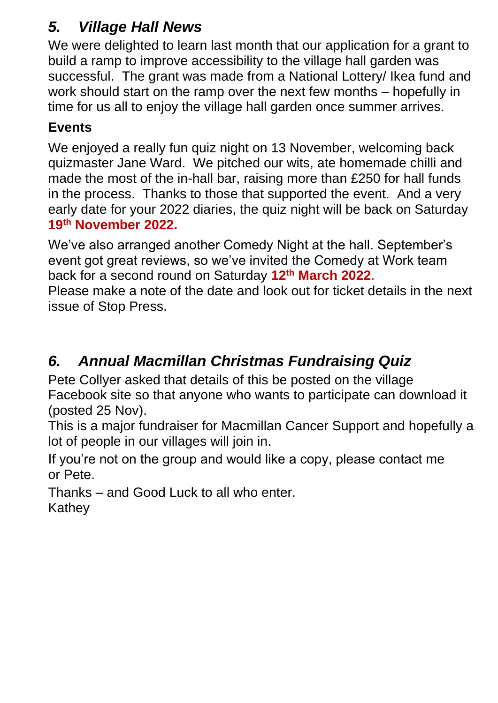# *5. Village Hall News*

We were delighted to learn last month that our application for a grant to build a ramp to improve accessibility to the village hall garden was successful. The grant was made from a National Lottery/ Ikea fund and work should start on the ramp over the next few months – hopefully in time for us all to enjoy the village hall garden once summer arrives.

### **Events**

We enjoyed a really fun quiz night on 13 November, welcoming back quizmaster Jane Ward. We pitched our wits, ate homemade chilli and made the most of the in-hall bar, raising more than £250 for hall funds in the process. Thanks to those that supported the event. And a very early date for your 2022 diaries, the quiz night will be back on Saturday **19 th November 2022.**

We've also arranged another Comedy Night at the hall. September's event got great reviews, so we've invited the Comedy at Work team back for a second round on Saturday **12th March 2022**. Please make a note of the date and look out for ticket details in the next

issue of Stop Press.

# *6. Annual Macmillan Christmas Fundraising Quiz*

Pete Collyer asked that details of this be posted on the village Facebook site so that anyone who wants to participate can download it (posted 25 Nov).

This is a major fundraiser for Macmillan Cancer Support and hopefully a lot of people in our villages will join in.

If you're not on the group and would like a copy, please contact me or Pete.

Thanks – and Good Luck to all who enter. **Kathey**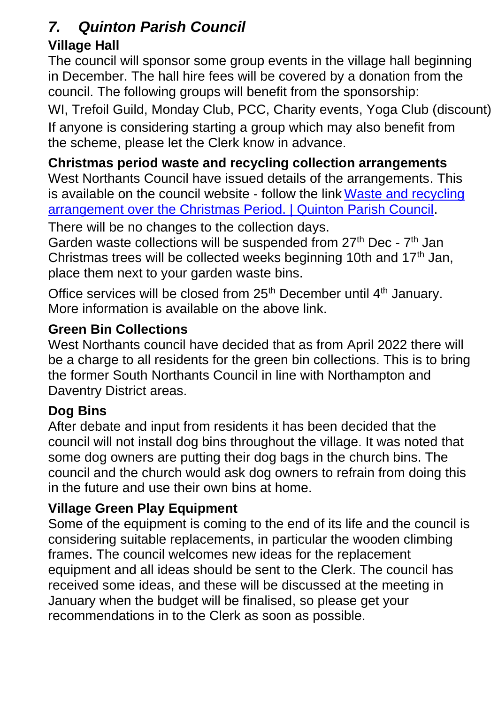### *7. Quinton Parish Council*

### **Village Hall**

The council will sponsor some group events in the village hall beginning in December. The hall hire fees will be covered by a donation from the council. The following groups will benefit from the sponsorship:

WI, Trefoil Guild, Monday Club, PCC, Charity events, Yoga Club (discount) If anyone is considering starting a group which may also benefit from the scheme, please let the Clerk know in advance.

**Christmas period waste and recycling collection arrangements** West Northants Council have issued details of the arrangements. This is available on the council website - follow the link [Waste and recycling](https://www.quintonparishcouncil.org.uk/news/2021/11/waste-and-recycling-arrangement-over-the-christmas-period)  [arrangement over the Christmas Period. | Quinton Parish Council.](https://www.quintonparishcouncil.org.uk/news/2021/11/waste-and-recycling-arrangement-over-the-christmas-period)

There will be no changes to the collection days.

Garden waste collections will be suspended from 27<sup>th</sup> Dec - 7<sup>th</sup> Jan Christmas trees will be collected weeks beginning 10th and  $17<sup>th</sup>$  Jan, place them next to your garden waste bins.

Office services will be closed from 25<sup>th</sup> December until 4<sup>th</sup> January. More information is available on the above link.

### **Green Bin Collections**

West Northants council have decided that as from April 2022 there will be a charge to all residents for the green bin collections. This is to bring the former South Northants Council in line with Northampton and Daventry District areas.

### **Dog Bins**

After debate and input from residents it has been decided that the council will not install dog bins throughout the village. It was noted that some dog owners are putting their dog bags in the church bins. The council and the church would ask dog owners to refrain from doing this in the future and use their own bins at home.

### **Village Green Play Equipment**

Some of the equipment is coming to the end of its life and the council is considering suitable replacements, in particular the wooden climbing frames. The council welcomes new ideas for the replacement equipment and all ideas should be sent to the Clerk. The council has received some ideas, and these will be discussed at the meeting in January when the budget will be finalised, so please get your recommendations in to the Clerk as soon as possible.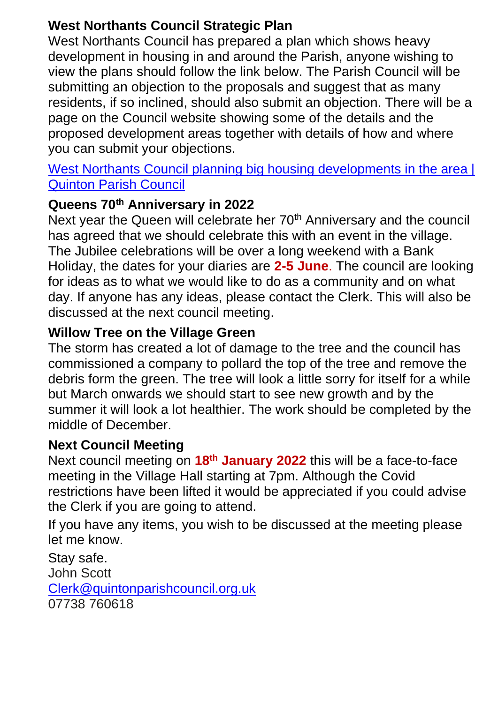#### **West Northants Council Strategic Plan**

West Northants Council has prepared a plan which shows heavy development in housing in and around the Parish, anyone wishing to view the plans should follow the link below. The Parish Council will be submitting an objection to the proposals and suggest that as many residents, if so inclined, should also submit an objection. There will be a page on the Council website showing some of the details and the proposed development areas together with details of how and where you can submit your objections.

#### West Northants Council planning big housing developments in the area I [Quinton Parish Council](https://www.quintonparishcouncil.org.uk/news/2021/11/west-northants-council-planning-big-housing-developments-in-the-area)

#### **Queens 70th Anniversary in 2022**

Next year the Queen will celebrate her 70<sup>th</sup> Anniversary and the council has agreed that we should celebrate this with an event in the village. The Jubilee celebrations will be over a long weekend with a Bank Holiday, the dates for your diaries are **2-5 June**. The council are looking for ideas as to what we would like to do as a community and on what day. If anyone has any ideas, please contact the Clerk. This will also be discussed at the next council meeting.

#### **Willow Tree on the Village Green**

The storm has created a lot of damage to the tree and the council has commissioned a company to pollard the top of the tree and remove the debris form the green. The tree will look a little sorry for itself for a while but March onwards we should start to see new growth and by the summer it will look a lot healthier. The work should be completed by the middle of December.

#### **Next Council Meeting**

Next council meeting on **18th January 2022** this will be a face-to-face meeting in the Village Hall starting at 7pm. Although the Covid restrictions have been lifted it would be appreciated if you could advise the Clerk if you are going to attend.

If you have any items, you wish to be discussed at the meeting please let me know.

Stay safe. John Scott [Clerk@quintonparishcouncil.org.uk](mailto:Clerk@quintonparishcouncil.org.uk) 07738 760618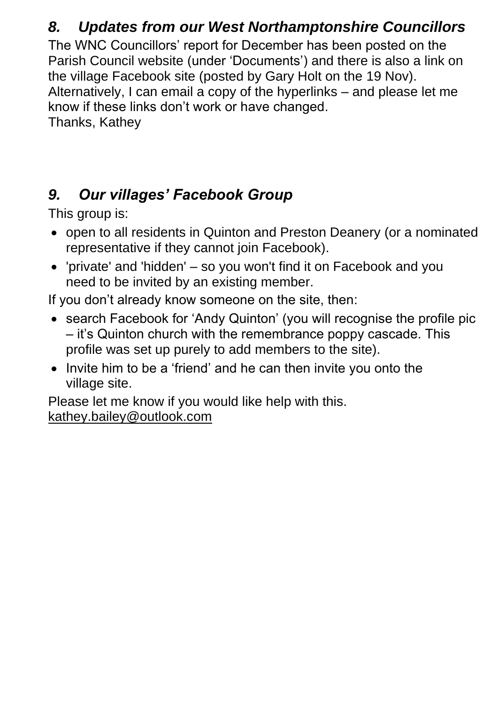### *8. Updates from our West Northamptonshire Councillors*

The WNC Councillors' report for December has been posted on the Parish Council website (under 'Documents') and there is also a link on the village Facebook site (posted by Gary Holt on the 19 Nov). Alternatively, I can email a copy of the hyperlinks – and please let me know if these links don't work or have changed.

Thanks, Kathey

# *9. Our villages' Facebook Group*

This group is:

- open to all residents in Quinton and Preston Deanery (or a nominated representative if they cannot join Facebook).
- 'private' and 'hidden' so you won't find it on Facebook and you need to be invited by an existing member.

If you don't already know someone on the site, then:

- search Facebook for 'Andy Quinton' (you will recognise the profile pic – it's Quinton church with the remembrance poppy cascade. This profile was set up purely to add members to the site).
- Invite him to be a 'friend' and he can then invite you onto the village site.

Please let me know if you would like help with this. [kathey.bailey@outlook.com](mailto:kathey.bailey@outlook.com)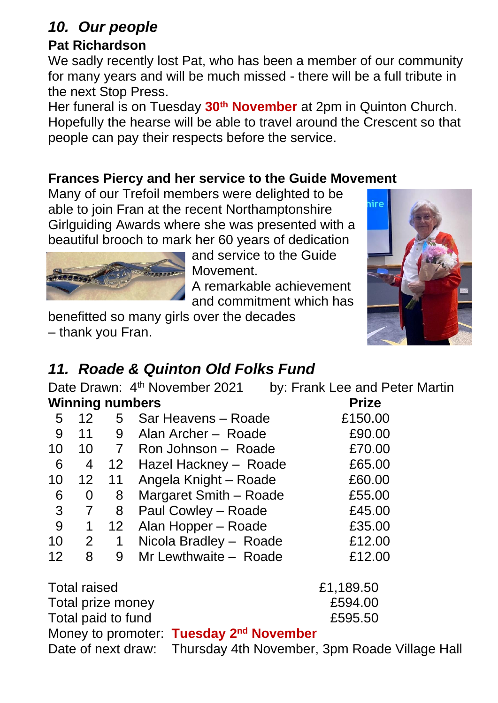### *10. Our people*

#### **Pat Richardson**

We sadly recently lost Pat, who has been a member of our community for many years and will be much missed - there will be a full tribute in the next Stop Press.

Her funeral is on Tuesday **30th November** at 2pm in Quinton Church. Hopefully the hearse will be able to travel around the Crescent so that people can pay their respects before the service.

#### **Frances Piercy and her service to the Guide Movement**

Many of our Trefoil members were delighted to be able to join Fran at the recent Northamptonshire Girlguiding Awards where she was presented with a beautiful brooch to mark her 60 years of dedication



and service to the Guide Movement. A remarkable achievement

and commitment which has benefitted so many girls over the decades – thank you Fran.



### *11. Roade & Quinton Old Folks Fund*

Date Drawn: 4<sup>th</sup> November 2021

by: Frank Lee and Peter Martin

| <b>Winning numbers</b>                                           |                 |                 |                                                     | <b>Prize</b> |  |
|------------------------------------------------------------------|-----------------|-----------------|-----------------------------------------------------|--------------|--|
| 5                                                                | 12              |                 | 5 Sar Heavens – Roade                               | £150.00      |  |
| 9                                                                | 11              | 9               | Alan Archer - Roade                                 | £90.00       |  |
| 10                                                               |                 |                 | 10 7 Ron Johnson - Roade                            | £70.00       |  |
| 6                                                                | 4               |                 | 12 Hazel Hackney - Roade                            | £65.00       |  |
| 10                                                               | 12 <sup>1</sup> | 11              | Angela Knight - Roade                               | £60.00       |  |
| 6                                                                | 0               | 8               | Margaret Smith - Roade                              | £55.00       |  |
| 3                                                                | $\overline{7}$  | 8               | Paul Cowley - Roade                                 | £45.00       |  |
| 9                                                                | 1               | 12 <sup>7</sup> | Alan Hopper – Roade                                 | £35.00       |  |
| 10                                                               |                 | $2 \quad 1$     | Nicola Bradley - Roade                              | £12.00       |  |
| 12                                                               | 8               | 9               | Mr Lewthwaite - Roade                               | £12.00       |  |
| <b>Total raised</b>                                              |                 |                 |                                                     | £1,189.50    |  |
| Total prize money                                                |                 |                 |                                                     | £594.00      |  |
| Total paid to fund                                               |                 |                 |                                                     | £595.50      |  |
|                                                                  |                 |                 | Money to promoter: Tuesday 2 <sup>nd</sup> November |              |  |
| Date of next draw: Thursday 4th November, 3pm Roade Village Hall |                 |                 |                                                     |              |  |